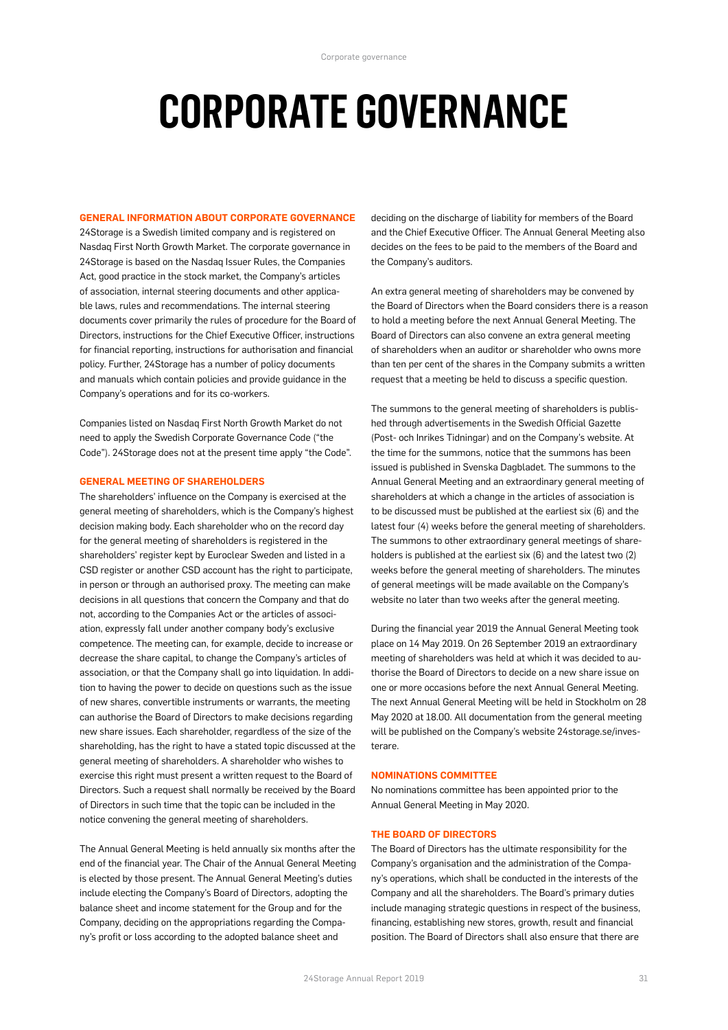# **CORPORATE GOVERNANCE**

#### **GENERAL INFORMATION ABOUT CORPORATE GOVERNANCE**

24Storage is a Swedish limited company and is registered on Nasdaq First North Growth Market. The corporate governance in 24Storage is based on the Nasdaq Issuer Rules, the Companies Act, good practice in the stock market, the Company's articles of association, internal steering documents and other applicable laws, rules and recommendations. The internal steering documents cover primarily the rules of procedure for the Board of Directors, instructions for the Chief Executive Officer, instructions for financial reporting, instructions for authorisation and financial policy. Further, 24Storage has a number of policy documents and manuals which contain policies and provide guidance in the Company's operations and for its co-workers.

Companies listed on Nasdaq First North Growth Market do not need to apply the Swedish Corporate Governance Code ("the Code"). 24Storage does not at the present time apply "the Code".

#### **GENERAL MEETING OF SHAREHOLDERS**

The shareholders' influence on the Company is exercised at the general meeting of shareholders, which is the Company's highest decision making body. Each shareholder who on the record day for the general meeting of shareholders is registered in the shareholders' register kept by Euroclear Sweden and listed in a CSD register or another CSD account has the right to participate, in person or through an authorised proxy. The meeting can make decisions in all questions that concern the Company and that do not, according to the Companies Act or the articles of association, expressly fall under another company body's exclusive competence. The meeting can, for example, decide to increase or decrease the share capital, to change the Company's articles of association, or that the Company shall go into liquidation. In addition to having the power to decide on questions such as the issue of new shares, convertible instruments or warrants, the meeting can authorise the Board of Directors to make decisions regarding new share issues. Each shareholder, regardless of the size of the shareholding, has the right to have a stated topic discussed at the general meeting of shareholders. A shareholder who wishes to exercise this right must present a written request to the Board of Directors. Such a request shall normally be received by the Board of Directors in such time that the topic can be included in the notice convening the general meeting of shareholders.

The Annual General Meeting is held annually six months after the end of the financial year. The Chair of the Annual General Meeting is elected by those present. The Annual General Meeting's duties include electing the Company's Board of Directors, adopting the balance sheet and income statement for the Group and for the Company, deciding on the appropriations regarding the Company's profit or loss according to the adopted balance sheet and

deciding on the discharge of liability for members of the Board and the Chief Executive Officer. The Annual General Meeting also decides on the fees to be paid to the members of the Board and the Company's auditors.

An extra general meeting of shareholders may be convened by the Board of Directors when the Board considers there is a reason to hold a meeting before the next Annual General Meeting. The Board of Directors can also convene an extra general meeting of shareholders when an auditor or shareholder who owns more than ten per cent of the shares in the Company submits a written request that a meeting be held to discuss a specific question.

The summons to the general meeting of shareholders is published through advertisements in the Swedish Official Gazette (Post- och Inrikes Tidningar) and on the Company's website. At the time for the summons, notice that the summons has been issued is published in Svenska Dagbladet. The summons to the Annual General Meeting and an extraordinary general meeting of shareholders at which a change in the articles of association is to be discussed must be published at the earliest six (6) and the latest four (4) weeks before the general meeting of shareholders. The summons to other extraordinary general meetings of shareholders is published at the earliest six (6) and the latest two (2) weeks before the general meeting of shareholders. The minutes of general meetings will be made available on the Company's website no later than two weeks after the general meeting.

During the financial year 2019 the Annual General Meeting took place on 14 May 2019. On 26 September 2019 an extraordinary meeting of shareholders was held at which it was decided to authorise the Board of Directors to decide on a new share issue on one or more occasions before the next Annual General Meeting. The next Annual General Meeting will be held in Stockholm on 28 May 2020 at 18.00. All documentation from the general meeting will be published on the Company's website 24storage.se/investerare.

#### **NOMINATIONS COMMITTEE**

No nominations committee has been appointed prior to the Annual General Meeting in May 2020.

#### **THE BOARD OF DIRECTORS**

The Board of Directors has the ultimate responsibility for the Company's organisation and the administration of the Company's operations, which shall be conducted in the interests of the Company and all the shareholders. The Board's primary duties include managing strategic questions in respect of the business, financing, establishing new stores, growth, result and financial position. The Board of Directors shall also ensure that there are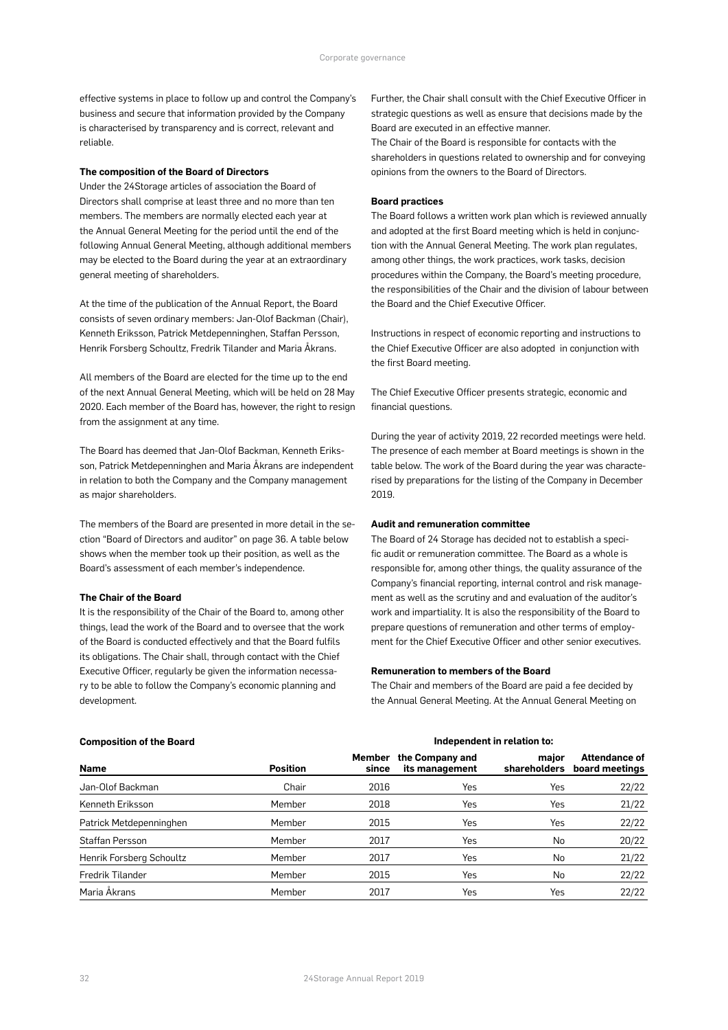effective systems in place to follow up and control the Company's business and secure that information provided by the Company is characterised by transparency and is correct, relevant and reliable.

#### **The composition of the Board of Directors**

Under the 24Storage articles of association the Board of Directors shall comprise at least three and no more than ten members. The members are normally elected each year at the Annual General Meeting for the period until the end of the following Annual General Meeting, although additional members may be elected to the Board during the year at an extraordinary general meeting of shareholders.

At the time of the publication of the Annual Report, the Board consists of seven ordinary members: Jan-Olof Backman (Chair), Kenneth Eriksson, Patrick Metdepenninghen, Staffan Persson, Henrik Forsberg Schoultz, Fredrik Tilander and Maria Åkrans.

All members of the Board are elected for the time up to the end of the next Annual General Meeting, which will be held on 28 May 2020. Each member of the Board has, however, the right to resign from the assignment at any time.

The Board has deemed that Jan-Olof Backman, Kenneth Eriksson, Patrick Metdepenninghen and Maria Åkrans are independent in relation to both the Company and the Company management as major shareholders.

The members of the Board are presented in more detail in the section "Board of Directors and auditor" on page 36. A table below shows when the member took up their position, as well as the Board's assessment of each member's independence.

#### **The Chair of the Board**

It is the responsibility of the Chair of the Board to, among other things, lead the work of the Board and to oversee that the work of the Board is conducted effectively and that the Board fulfils its obligations. The Chair shall, through contact with the Chief Executive Officer, regularly be given the information necessary to be able to follow the Company's economic planning and development.

Further, the Chair shall consult with the Chief Executive Officer in strategic questions as well as ensure that decisions made by the Board are executed in an effective manner.

The Chair of the Board is responsible for contacts with the shareholders in questions related to ownership and for conveying opinions from the owners to the Board of Directors.

#### **Board practices**

The Board follows a written work plan which is reviewed annually and adopted at the first Board meeting which is held in conjunction with the Annual General Meeting. The work plan regulates, among other things, the work practices, work tasks, decision procedures within the Company, the Board's meeting procedure, the responsibilities of the Chair and the division of labour between the Board and the Chief Executive Officer.

Instructions in respect of economic reporting and instructions to the Chief Executive Officer are also adopted in conjunction with the first Board meeting.

The Chief Executive Officer presents strategic, economic and financial questions.

During the year of activity 2019, 22 recorded meetings were held. The presence of each member at Board meetings is shown in the table below. The work of the Board during the year was characterised by preparations for the listing of the Company in December 2019.

#### **Audit and remuneration committee**

The Board of 24 Storage has decided not to establish a specific audit or remuneration committee. The Board as a whole is responsible for, among other things, the quality assurance of the Company's financial reporting, internal control and risk management as well as the scrutiny and and evaluation of the auditor's work and impartiality. It is also the responsibility of the Board to prepare questions of remuneration and other terms of employment for the Chief Executive Officer and other senior executives.

#### **Remuneration to members of the Board**

The Chair and members of the Board are paid a fee decided by the Annual General Meeting. At the Annual General Meeting on

| <b>Composition of the Board</b> |                 | Independent in relation to: |                                   |                       |                                        |  |
|---------------------------------|-----------------|-----------------------------|-----------------------------------|-----------------------|----------------------------------------|--|
| <b>Name</b>                     | <b>Position</b> | Member<br>since             | the Company and<br>its management | major<br>shareholders | <b>Attendance of</b><br>board meetings |  |
| Jan-Olof Backman                | Chair           | 2016                        | Yes                               | Yes                   | 22/22                                  |  |
| Kenneth Eriksson                | Member          | 2018                        | Yes                               | Yes                   | 21/22                                  |  |
| Patrick Metdepenninghen         | Member          | 2015                        | Yes                               | Yes                   | 22/22                                  |  |
| Staffan Persson                 | Member          | 2017                        | Yes                               | No                    | 20/22                                  |  |
| Henrik Forsberg Schoultz        | Member          | 2017                        | Yes                               | No                    | 21/22                                  |  |
| Fredrik Tilander                | Member          | 2015                        | Yes                               | No                    | 22/22                                  |  |
| Maria Åkrans                    | Member          | 2017                        | Yes                               | Yes                   | 22/22                                  |  |

#### **Composition of the Board**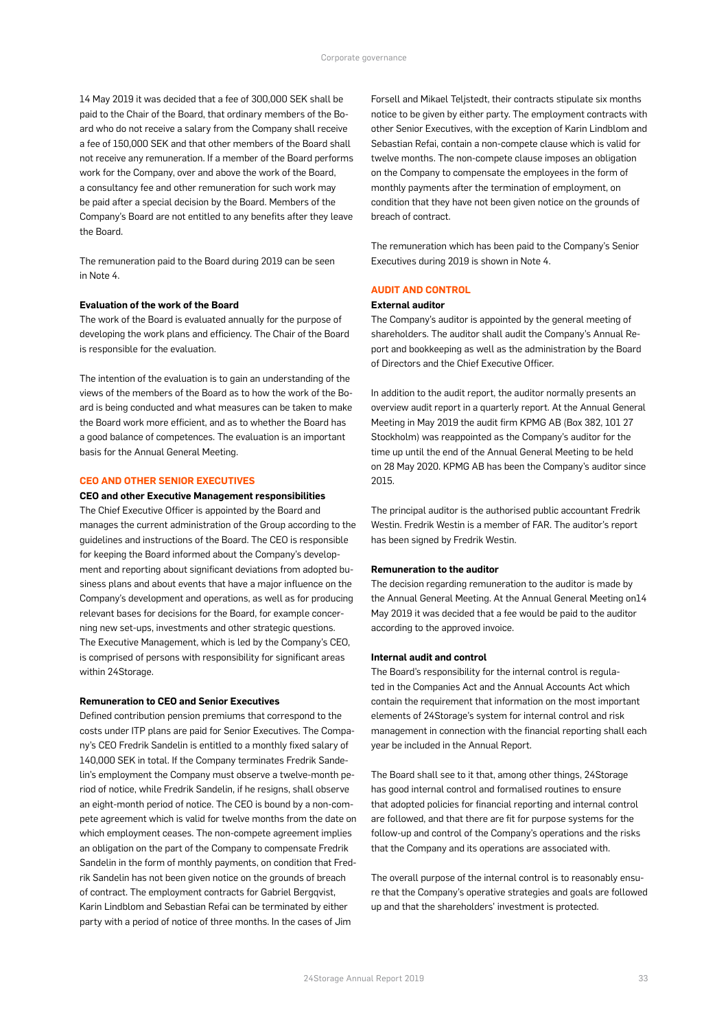14 May 2019 it was decided that a fee of 300,000 SEK shall be paid to the Chair of the Board, that ordinary members of the Board who do not receive a salary from the Company shall receive a fee of 150,000 SEK and that other members of the Board shall not receive any remuneration. If a member of the Board performs work for the Company, over and above the work of the Board, a consultancy fee and other remuneration for such work may be paid after a special decision by the Board. Members of the Company's Board are not entitled to any benefits after they leave the Board.

The remuneration paid to the Board during 2019 can be seen in Note 4.

#### **Evaluation of the work of the Board**

The work of the Board is evaluated annually for the purpose of developing the work plans and efficiency. The Chair of the Board is responsible for the evaluation.

The intention of the evaluation is to gain an understanding of the views of the members of the Board as to how the work of the Board is being conducted and what measures can be taken to make the Board work more efficient, and as to whether the Board has a good balance of competences. The evaluation is an important basis for the Annual General Meeting.

#### **CEO AND OTHER SENIOR EXECUTIVES**

#### **CEO and other Executive Management responsibilities**

The Chief Executive Officer is appointed by the Board and manages the current administration of the Group according to the guidelines and instructions of the Board. The CEO is responsible for keeping the Board informed about the Company's development and reporting about significant deviations from adopted business plans and about events that have a major influence on the Company's development and operations, as well as for producing relevant bases for decisions for the Board, for example concerning new set-ups, investments and other strategic questions. The Executive Management, which is led by the Company's CEO, is comprised of persons with responsibility for significant areas within 24Storage.

#### **Remuneration to CEO and Senior Executives**

Defined contribution pension premiums that correspond to the costs under ITP plans are paid for Senior Executives. The Company's CEO Fredrik Sandelin is entitled to a monthly fixed salary of 140,000 SEK in total. If the Company terminates Fredrik Sandelin's employment the Company must observe a twelve-month period of notice, while Fredrik Sandelin, if he resigns, shall observe an eight-month period of notice. The CEO is bound by a non-compete agreement which is valid for twelve months from the date on which employment ceases. The non-compete agreement implies an obligation on the part of the Company to compensate Fredrik Sandelin in the form of monthly payments, on condition that Fredrik Sandelin has not been given notice on the grounds of breach of contract. The employment contracts for Gabriel Bergqvist, Karin Lindblom and Sebastian Refai can be terminated by either party with a period of notice of three months. In the cases of Jim

Forsell and Mikael Teljstedt, their contracts stipulate six months notice to be given by either party. The employment contracts with other Senior Executives, with the exception of Karin Lindblom and Sebastian Refai, contain a non-compete clause which is valid for twelve months. The non-compete clause imposes an obligation on the Company to compensate the employees in the form of monthly payments after the termination of employment, on condition that they have not been given notice on the grounds of breach of contract.

The remuneration which has been paid to the Company's Senior Executives during 2019 is shown in Note 4.

### **AUDIT AND CONTROL**

#### **External auditor**

The Company's auditor is appointed by the general meeting of shareholders. The auditor shall audit the Company's Annual Report and bookkeeping as well as the administration by the Board of Directors and the Chief Executive Officer.

In addition to the audit report, the auditor normally presents an overview audit report in a quarterly report. At the Annual General Meeting in May 2019 the audit firm KPMG AB (Box 382, 101 27 Stockholm) was reappointed as the Company's auditor for the time up until the end of the Annual General Meeting to be held on 28 May 2020. KPMG AB has been the Company's auditor since 2015.

The principal auditor is the authorised public accountant Fredrik Westin. Fredrik Westin is a member of FAR. The auditor's report has been signed by Fredrik Westin.

#### **Remuneration to the auditor**

The decision regarding remuneration to the auditor is made by the Annual General Meeting. At the Annual General Meeting on14 May 2019 it was decided that a fee would be paid to the auditor according to the approved invoice.

#### **Internal audit and control**

The Board's responsibility for the internal control is regulated in the Companies Act and the Annual Accounts Act which contain the requirement that information on the most important elements of 24Storage's system for internal control and risk management in connection with the financial reporting shall each year be included in the Annual Report.

The Board shall see to it that, among other things, 24Storage has good internal control and formalised routines to ensure that adopted policies for financial reporting and internal control are followed, and that there are fit for purpose systems for the follow-up and control of the Company's operations and the risks that the Company and its operations are associated with.

The overall purpose of the internal control is to reasonably ensure that the Company's operative strategies and goals are followed up and that the shareholders' investment is protected.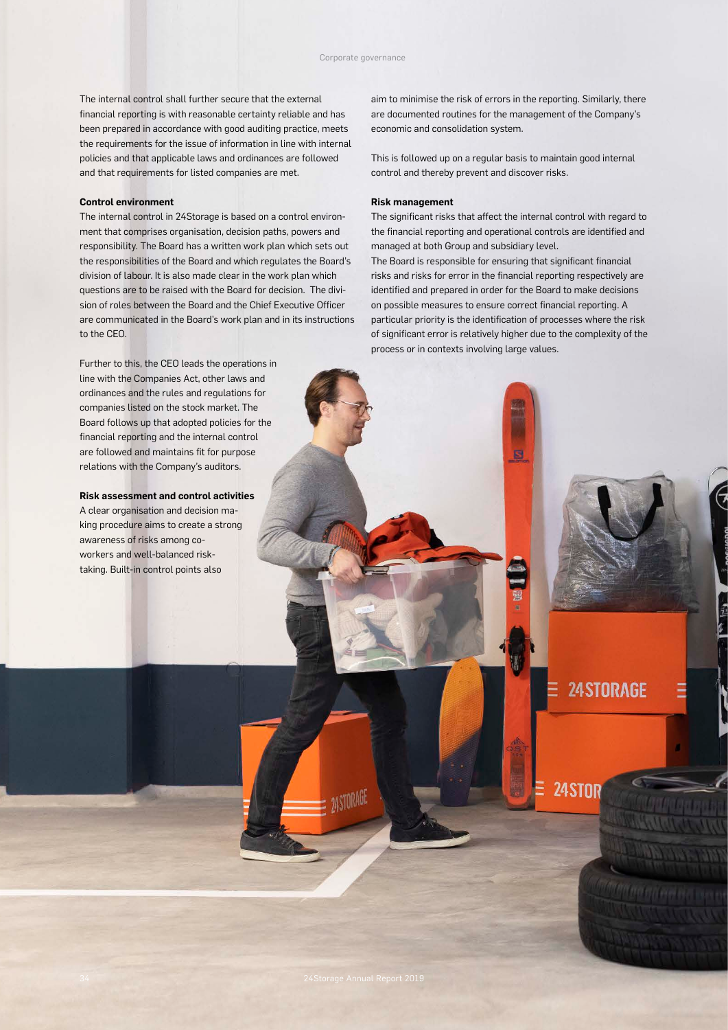The internal control shall further secure that the external financial reporting is with reasonable certainty reliable and has been prepared in accordance with good auditing practice, meets the requirements for the issue of information in line with internal policies and that applicable laws and ordinances are followed and that requirements for listed companies are met.

#### **Control environment**

The internal control in 24Storage is based on a control environment that comprises organisation, decision paths, powers and responsibility. The Board has a written work plan which sets out the responsibilities of the Board and which regulates the Board's division of labour. It is also made clear in the work plan which questions are to be raised with the Board for decision. The division of roles between the Board and the Chief Executive Officer are communicated in the Board's work plan and in its instructions to the CEO.

Further to this, the CEO leads the operations in line with the Companies Act, other laws and ordinances and the rules and regulations for companies listed on the stock market. The Board follows up that adopted policies for the financial reporting and the internal control are followed and maintains fit for purpose relations with the Company's auditors.

**Risk assessment and control activities**

A clear organisation and decision making procedure aims to create a strong awareness of risks among coworkers and well-balanced risktaking. Built-in control points also

aim to minimise the risk of errors in the reporting. Similarly, there are documented routines for the management of the Company's economic and consolidation system.

This is followed up on a regular basis to maintain good internal control and thereby prevent and discover risks.

#### **Risk management**

The significant risks that affect the internal control with regard to the financial reporting and operational controls are identified and managed at both Group and subsidiary level.

The Board is responsible for ensuring that significant financial risks and risks for error in the financial reporting respectively are identified and prepared in order for the Board to make decisions on possible measures to ensure correct financial reporting. A particular priority is the identification of processes where the risk of significant error is relatively higher due to the complexity of the process or in contexts involving large values.

E

**24STORAGE** 

24STOR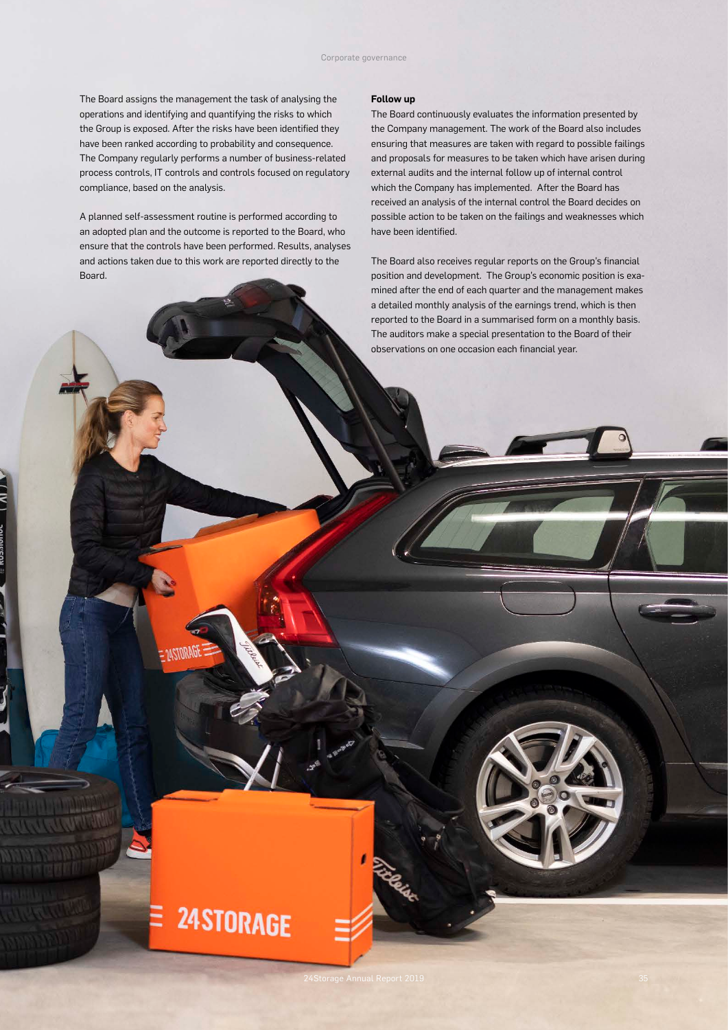The Board assigns the management the task of analysing the operations and identifying and quantifying the risks to which the Group is exposed. After the risks have been identified they have been ranked according to probability and consequence. The Company regularly performs a number of business-related process controls, IT controls and controls focused on regulatory compliance, based on the analysis.

A planned self-assessment routine is performed according to an adopted plan and the outcome is reported to the Board, who ensure that the controls have been performed. Results, analyses and actions taken due to this work are reported directly to the Board.

24STORAGE

#### **Follow up**

The Board continuously evaluates the information presented by the Company management. The work of the Board also includes ensuring that measures are taken with regard to possible failings and proposals for measures to be taken which have arisen during external audits and the internal follow up of internal control which the Company has implemented. After the Board has received an analysis of the internal control the Board decides on possible action to be taken on the failings and weaknesses which have been identified.

The Board also receives regular reports on the Group's financial position and development. The Group's economic position is examined after the end of each quarter and the management makes a detailed monthly analysis of the earnings trend, which is then reported to the Board in a summarised form on a monthly basis. The auditors make a special presentation to the Board of their observations on one occasion each financial year.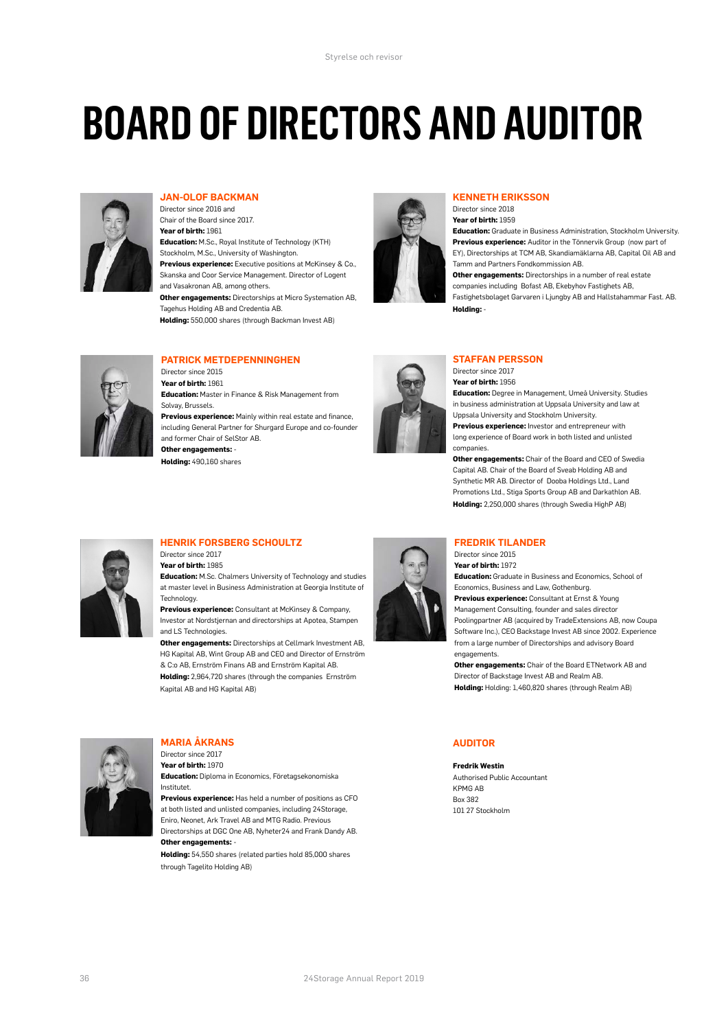# **BOARD OF DIRECTORS AND AUDITOR**



# **JAN-OLOF BACKMAN**

Director since 2016 and Chair of the Board since 2017. **Year of birth:** 1961 **Education:** M.Sc., Royal Institute of Technology (KTH) Stockholm, M.Sc., University of Washington. **Previous experience:** Executive positions at McKinsey & Co., Skanska and Coor Service Management. Director of Logent and Vasakronan AB, among others. **Other engagements:** Directorships at Micro Systemation AB, Tagehus Holding AB and Credentia AB.

**Holding:** 550,000 shares (through Backman Invest AB)



#### **KENNETH ERIKSSON**

Director since 2018 **Year of birth:** 1959 **Education:** Graduate in Business Administration, Stockholm University. **Previous experience:** Auditor in the Tönnervik Group (now part of EY), Directorships at TCM AB, Skandiamäklarna AB, Capital Oil AB and Tamm and Partners Fondkommission AB. **Other engagements:** Directorships in a number of real estate companies including Bofast AB, Ekebyhov Fastighets AB, Fastighetsbolaget Garvaren i Ljungby AB and Hallstahammar Fast. AB. **Holding:** -



#### **PATRICK METDEPENNINGHEN**

Director since 2015 **Year of birth:** 1961 **Education:** Master in Finance & Risk Management from Solvay, Brussels. **Previous experience:** Mainly within real estate and finance, including General Partner for Shurgard Europe and co-founder and former Chair of SelStor AB. **Other engagements:** -

**Holding:** 490,160 shares



# **STAFFAN PERSSON**

Director since 2017 **Year of birth:** 1956

**Education:** Degree in Management, Umeå University. Studies in business administration at Unnsala University and law at Uppsala University and Stockholm University. **Previous experience:** Investor and entrepreneur with long experience of Board work in both listed and unlisted companies.

**Other engagements:** Chair of the Board and CEO of Swedia Capital AB. Chair of the Board of Sveab Holding AB and Synthetic MR AB. Director of Dooba Holdings Ltd., Land Promotions Ltd., Stiga Sports Group AB and Darkathlon AB. **Holding:** 2,250,000 shares (through Swedia HighP AB)

### **HENRIK FORSBERG SCHOULTZ**

Director since 2017 **Year of birth:** 1985

**Education:** M.Sc. Chalmers University of Technology and studies at master level in Business Administration at Georgia Institute of Technology.

**Previous experience:** Consultant at McKinsey & Company, Investor at Nordstjernan and directorships at Apotea, Stampen and LS Technologies.

**Other engagements:** Directorships at Cellmark Investment AB, HG Kapital AB, Wint Group AB and CEO and Director of Ernström & C:o AB, Ernström Finans AB and Ernström Kapital AB. **Holding:** 2,964,720 shares (through the companies Ernström

Kapital AB and HG Kapital AB)



### **FREDRIK TILANDER**

Director since 2015 **Year of birth:** 1972 **Education:** Graduate in Business and Economics, School of Economics, Business and Law, Gothenburg. **Previous experience:** Consultant at Ernst & Young Management Consulting, founder and sales director Poolingpartner AB (acquired by TradeExtensions AB, now Coupa Software Inc.), CEO Backstage Invest AB since 2002. Experience from a large number of Directorships and advisory Board engagements

**Other engagements:** Chair of the Board ETNetwork AB and Director of Backstage Invest AB and Realm AB. **Holding:** Holding: 1,460,820 shares (through Realm AB)

## **AUDITOR**

**Fredrik Westin** Authorised Public Accountant KPMG AB Box 382 101 27 Stockholm



#### **MARIA ÅKRANS** Director since 2017

**Year of birth:** 1970 **Education:** Diploma in Economics, Företagsekonomiska Institutet.

**Previous experience:** Has held a number of positions as CFO at both listed and unlisted companies, including 24Storage, Eniro, Neonet, Ark Travel AB and MTG Radio. Previous Directorships at DGC One AB, Nyheter24 and Frank Dandy AB. **Other engagements:** -

**Holding:** 54,550 shares (related parties hold 85,000 shares through Tagelito Holding AB)